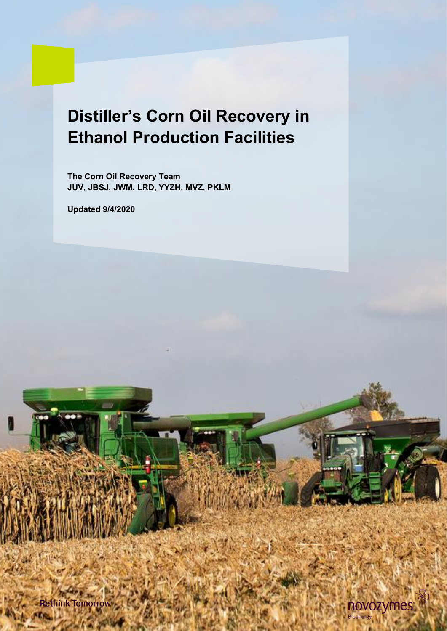# **Distiller's Corn Oil Recovery in Ethanol Production Facilities**

**The Corn Oil Recovery Team JUV, JBSJ, JWM, LRD, YYZH, MVZ, PKLM**

**Updated 9/4/2020**

**Rethink Tomorrow** 

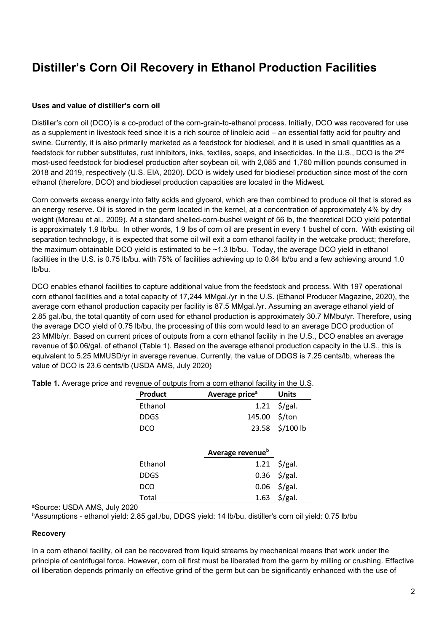# **Distiller's Corn Oil Recovery in Ethanol Production Facilities**

# **Uses and value of distiller's corn oil**

Distiller's corn oil (DCO) is a co-product of the corn-grain-to-ethanol process. Initially, DCO was recovered for use as a supplement in livestock feed since it is a rich source of linoleic acid – an essential fatty acid for poultry and swine. Currently, it is also primarily marketed as a feedstock for biodiesel, and it is used in small quantities as a feedstock for rubber substitutes, rust inhibitors, inks, textiles, soaps, and insecticides. In the U.S., DCO is the 2<sup>nd</sup> most-used feedstock for biodiesel production after soybean oil, with 2,085 and 1,760 million pounds consumed in 2018 and 2019, respectively (U.S. EIA, 2020). DCO is widely used for biodiesel production since most of the corn ethanol (therefore, DCO) and biodiesel production capacities are located in the Midwest.

Corn converts excess energy into fatty acids and glycerol, which are then combined to produce oil that is stored as an energy reserve. Oil is stored in the germ located in the kernel, at a concentration of approximately 4% by dry weight (Moreau et al., 2009). At a standard shelled-corn-bushel weight of 56 lb, the theoretical DCO yield potential is approximately 1.9 lb/bu. In other words, 1.9 lbs of corn oil are present in every 1 bushel of corn. With existing oil separation technology, it is expected that some oil will exit a corn ethanol facility in the wetcake product; therefore, the maximum obtainable DCO yield is estimated to be ~1.3 lb/bu. Today, the average DCO yield in ethanol facilities in the U.S. is 0.75 lb/bu. with 75% of facilities achieving up to 0.84 lb/bu and a few achieving around 1.0 lb/bu.

DCO enables ethanol facilities to capture additional value from the feedstock and process. With 197 operational corn ethanol facilities and a total capacity of 17,244 MMgal./yr in the U.S. (Ethanol Producer Magazine, 2020), the average corn ethanol production capacity per facility is 87.5 MMgal./yr. Assuming an average ethanol yield of 2.85 gal./bu, the total quantity of corn used for ethanol production is approximately 30.7 MMbu/yr. Therefore, using the average DCO yield of 0.75 lb/bu, the processing of this corn would lead to an average DCO production of 23 MMlb/yr. Based on current prices of outputs from a corn ethanol facility in the U.S., DCO enables an average revenue of \$0.06/gal. of ethanol (Table 1). Based on the average ethanol production capacity in the U.S., this is equivalent to 5.25 MMUSD/yr in average revenue. Currently, the value of DDGS is 7.25 cents/lb, whereas the value of DCO is 23.6 cents/lb (USDA AMS, July 2020)

| Product | Average price <sup>a</sup>   | <b>Units</b>        |
|---------|------------------------------|---------------------|
| Ethanol | 1.21                         | $\frac{1}{2}$ /gal. |
| DDGS    | 145.00                       | \$/ton              |
| DCO     | 23.58                        | $$/100$ lb          |
|         |                              |                     |
|         | Average revenue <sup>b</sup> |                     |
| Ethanol | 1.21                         | $\frac{1}{2}$ /gal. |
| DDGS    | 0.36                         | $\frac{1}{2}$ /gal. |
| DCO     | 0.06                         | $\frac{1}{2}$ /gal. |
| Total   | 1.63                         | $\frac{1}{2}$ /gal. |

**Table 1.** Average price and revenue of outputs from a corn ethanol facility in the U.S.

aSource: USDA AMS, July 2020

bAssumptions - ethanol yield: 2.85 gal./bu, DDGS yield: 14 lb/bu, distiller's corn oil yield: 0.75 lb/bu

# **Recovery**

In a corn ethanol facility, oil can be recovered from liquid streams by mechanical means that work under the principle of centrifugal force. However, corn oil first must be liberated from the germ by milling or crushing. Effective oil liberation depends primarily on effective grind of the germ but can be significantly enhanced with the use of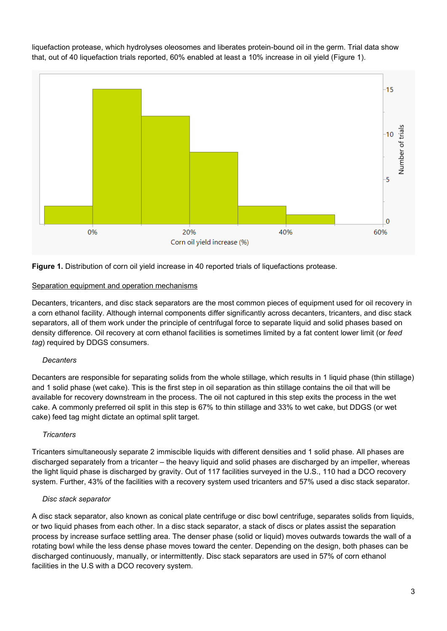liquefaction protease, which hydrolyses oleosomes and liberates protein-bound oil in the germ. Trial data show that, out of 40 liquefaction trials reported, 60% enabled at least a 10% increase in oil yield (Figure 1).



**Figure 1.** Distribution of corn oil yield increase in 40 reported trials of liquefactions protease.

# Separation equipment and operation mechanisms

Decanters, tricanters, and disc stack separators are the most common pieces of equipment used for oil recovery in a corn ethanol facility. Although internal components differ significantly across decanters, tricanters, and disc stack separators, all of them work under the principle of centrifugal force to separate liquid and solid phases based on density difference. Oil recovery at corn ethanol facilities is sometimes limited by a fat content lower limit (or *feed tag*) required by DDGS consumers.

# *Decanters*

Decanters are responsible for separating solids from the whole stillage, which results in 1 liquid phase (thin stillage) and 1 solid phase (wet cake). This is the first step in oil separation as thin stillage contains the oil that will be available for recovery downstream in the process. The oil not captured in this step exits the process in the wet cake. A commonly preferred oil split in this step is 67% to thin stillage and 33% to wet cake, but DDGS (or wet cake) feed tag might dictate an optimal split target.

# *Tricanters*

Tricanters simultaneously separate 2 immiscible liquids with different densities and 1 solid phase. All phases are discharged separately from a tricanter – the heavy liquid and solid phases are discharged by an impeller, whereas the light liquid phase is discharged by gravity. Out of 117 facilities surveyed in the U.S., 110 had a DCO recovery system. Further, 43% of the facilities with a recovery system used tricanters and 57% used a disc stack separator.

# *Disc stack separator*

A disc stack separator, also known as conical plate centrifuge or disc bowl centrifuge, separates solids from liquids, or two liquid phases from each other. In a disc stack separator, a stack of discs or plates assist the separation process by increase surface settling area. The denser phase (solid or liquid) moves outwards towards the wall of a rotating bowl while the less dense phase moves toward the center. Depending on the design, both phases can be discharged continuously, manually, or intermittently. Disc stack separators are used in 57% of corn ethanol facilities in the U.S with a DCO recovery system.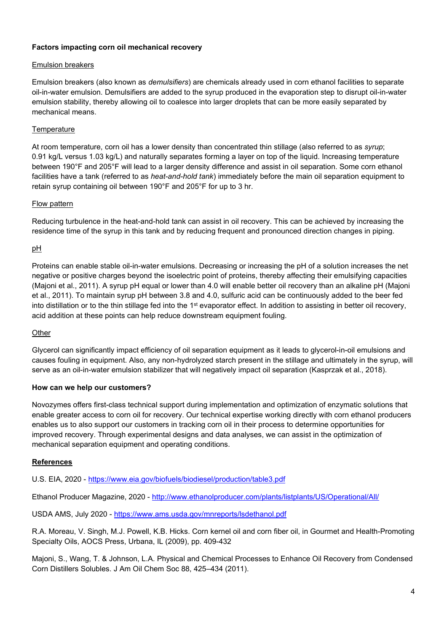# **Factors impacting corn oil mechanical recovery**

# Emulsion breakers

Emulsion breakers (also known as *demulsifiers*) are chemicals already used in corn ethanol facilities to separate oil-in-water emulsion. Demulsifiers are added to the syrup produced in the evaporation step to disrupt oil-in-water emulsion stability, thereby allowing oil to coalesce into larger droplets that can be more easily separated by mechanical means.

# **Temperature**

At room temperature, corn oil has a lower density than concentrated thin stillage (also referred to as *syrup*; 0.91 kg/L versus 1.03 kg/L) and naturally separates forming a layer on top of the liquid. Increasing temperature between 190°F and 205°F will lead to a larger density difference and assist in oil separation. Some corn ethanol facilities have a tank (referred to as *heat-and-hold tank*) immediately before the main oil separation equipment to retain syrup containing oil between 190°F and 205°F for up to 3 hr.

# Flow pattern

Reducing turbulence in the heat-and-hold tank can assist in oil recovery. This can be achieved by increasing the residence time of the syrup in this tank and by reducing frequent and pronounced direction changes in piping.

# pH

Proteins can enable stable oil-in-water emulsions. Decreasing or increasing the pH of a solution increases the net negative or positive charges beyond the isoelectric point of proteins, thereby affecting their emulsifying capacities (Majoni et al., 2011). A syrup pH equal or lower than 4.0 will enable better oil recovery than an alkaline pH (Majoni et al., 2011). To maintain syrup pH between 3.8 and 4.0, sulfuric acid can be continuously added to the beer fed into distillation or to the thin stillage fed into the 1<sup>st</sup> evaporator effect. In addition to assisting in better oil recovery, acid addition at these points can help reduce downstream equipment fouling.

# **Other**

Glycerol can significantly impact efficiency of oil separation equipment as it leads to glycerol-in-oil emulsions and causes fouling in equipment. Also, any non-hydrolyzed starch present in the stillage and ultimately in the syrup, will serve as an oil-in-water emulsion stabilizer that will negatively impact oil separation (Kasprzak et al., 2018).

# **How can we help our customers?**

Novozymes offers first-class technical support during implementation and optimization of enzymatic solutions that enable greater access to corn oil for recovery. Our technical expertise working directly with corn ethanol producers enables us to also support our customers in tracking corn oil in their process to determine opportunities for improved recovery. Through experimental designs and data analyses, we can assist in the optimization of mechanical separation equipment and operating conditions.

# **References**

U.S. EIA, 2020 - <https://www.eia.gov/biofuels/biodiesel/production/table3.pdf>

Ethanol Producer Magazine, 2020 - <http://www.ethanolproducer.com/plants/listplants/US/Operational/All/>

USDA AMS, July 2020 - <https://www.ams.usda.gov/mnreports/lsdethanol.pdf>

R.A. Moreau, V. Singh, M.J. Powell, K.B. Hicks. Corn kernel oil and corn fiber oil, in Gourmet and Health-Promoting Specialty Oils, AOCS Press, Urbana, IL (2009), pp. 409-432

Majoni, S., Wang, T. & Johnson, L.A. Physical and Chemical Processes to Enhance Oil Recovery from Condensed Corn Distillers Solubles. J Am Oil Chem Soc 88, 425–434 (2011).